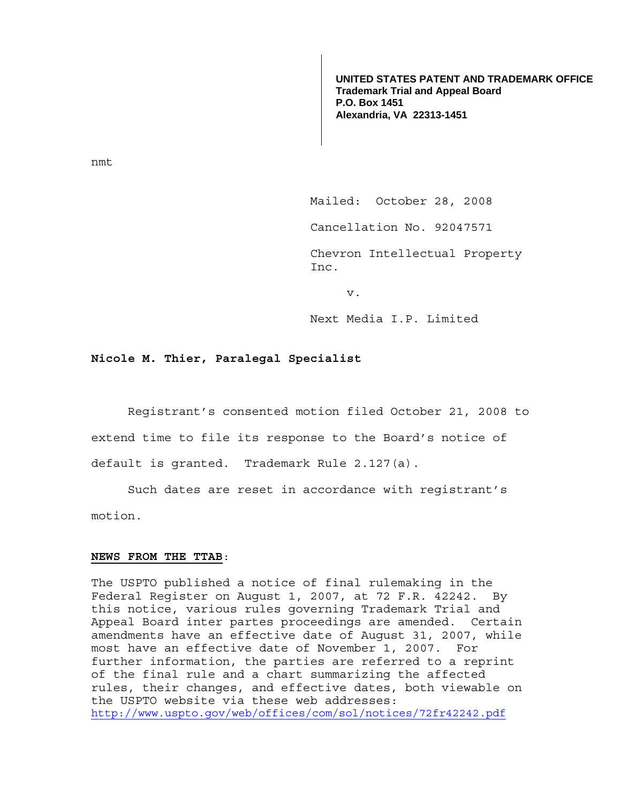**UNITED STATES PATENT AND TRADEMARK OFFICE Trademark Trial and Appeal Board P.O. Box 1451 Alexandria, VA 22313-1451**

nmt

Mailed: October 28, 2008

Cancellation No. 92047571

Chevron Intellectual Property Inc.

v.

Next Media I.P. Limited

## **Nicole M. Thier, Paralegal Specialist**

 Registrant's consented motion filed October 21, 2008 to extend time to file its response to the Board's notice of default is granted. Trademark Rule 2.127(a).

 Such dates are reset in accordance with registrant's motion.

## **NEWS FROM THE TTAB**:

The USPTO published a notice of final rulemaking in the Federal Register on August 1, 2007, at 72 F.R. 42242. By this notice, various rules governing Trademark Trial and Appeal Board inter partes proceedings are amended. Certain amendments have an effective date of August 31, 2007, while most have an effective date of November 1, 2007. For further information, the parties are referred to a reprint of the final rule and a chart summarizing the affected rules, their changes, and effective dates, both viewable on the USPTO website via these web addresses: http://www.uspto.gov/web/offices/com/sol/notices/72fr42242.pdf